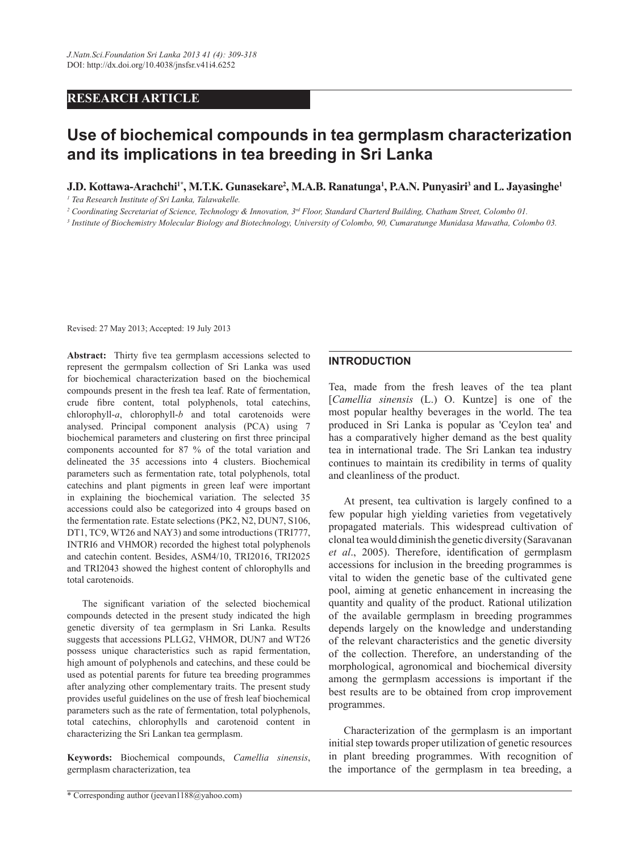## **RESEARCH ARTICLE**

# **Use of biochemical compounds in tea germplasm characterization and its implications in tea breeding in Sri Lanka**

## **J.D. Kottawa-Arachchi<sup>1\*</sup>, M.T.K. Gunasekare<sup>2</sup>, M.A.B. Ranatunga<sup>1</sup>, P.A.N. Punyasiri<sup>3</sup> and L. Jayasinghe<sup>1</sup>**

*1 Tea Research Institute of Sri Lanka, Talawakelle.*

*2 Coordinating Secretariat of Science, Technology & Innovation, 3rd Floor, Standard Charterd Building, Chatham Street, Colombo 01.*

*3 Institute of Biochemistry Molecular Biology and Biotechnology, University of Colombo, 90, Cumaratunge Munidasa Mawatha, Colombo 03.*

Revised: 27 May 2013; Accepted: 19 July 2013

**Abstract:** Thirty five tea germplasm accessions selected to represent the germpalsm collection of Sri Lanka was used for biochemical characterization based on the biochemical compounds present in the fresh tea leaf. Rate of fermentation, crude fibre content, total polyphenols, total catechins, chlorophyll-*a*, chlorophyll-*b* and total carotenoids were analysed. Principal component analysis (PCA) using 7 biochemical parameters and clustering on first three principal components accounted for 87 % of the total variation and delineated the 35 accessions into 4 clusters. Biochemical parameters such as fermentation rate, total polyphenols, total catechins and plant pigments in green leaf were important in explaining the biochemical variation. The selected 35 accessions could also be categorized into 4 groups based on the fermentation rate. Estate selections (PK2, N2, DUN7, S106, DT1, TC9, WT26 and NAY3) and some introductions (TRI777, INTRI6 and VHMOR) recorded the highest total polyphenols and catechin content. Besides, ASM4/10, TRI2016, TRI2025 and TRI2043 showed the highest content of chlorophylls and total carotenoids.

The significant variation of the selected biochemical compounds detected in the present study indicated the high genetic diversity of tea germplasm in Sri Lanka. Results suggests that accessions PLLG2, VHMOR, DUN7 and WT26 possess unique characteristics such as rapid fermentation, high amount of polyphenols and catechins, and these could be used as potential parents for future tea breeding programmes after analyzing other complementary traits. The present study provides useful guidelines on the use of fresh leaf biochemical parameters such as the rate of fermentation, total polyphenols, total catechins, chlorophylls and carotenoid content in characterizing the Sri Lankan tea germplasm.

**Keywords:** biochemical compounds, *Camellia sinensis*, germplasm characterization, tea

#### **INTRODUCTION**

Tea, made from the fresh leaves of the tea plant [*Camellia sinensis* (L.) O. Kuntze] is one of the most popular healthy beverages in the world. The tea produced in Sri Lanka is popular as 'Ceylon tea' and has a comparatively higher demand as the best quality tea in international trade. The Sri Lankan tea industry continues to maintain its credibility in terms of quality and cleanliness of the product.

At present, tea cultivation is largely confined to a few popular high yielding varieties from vegetatively propagated materials. This widespread cultivation of clonal tea would diminish the genetic diversity (Saravanan *et al*., 2005). Therefore, identification of germplasm accessions for inclusion in the breeding programmes is vital to widen the genetic base of the cultivated gene pool, aiming at genetic enhancement in increasing the quantity and quality of the product. Rational utilization of the available germplasm in breeding programmes depends largely on the knowledge and understanding of the relevant characteristics and the genetic diversity of the collection. Therefore, an understanding of the morphological, agronomical and biochemical diversity among the germplasm accessions is important if the best results are to be obtained from crop improvement programmes.

Characterization of the germplasm is an important initial step towards proper utilization of genetic resources in plant breeding programmes. With recognition of the importance of the germplasm in tea breeding, a

<sup>\*</sup> Corresponding author (jeevan1188@yahoo.com)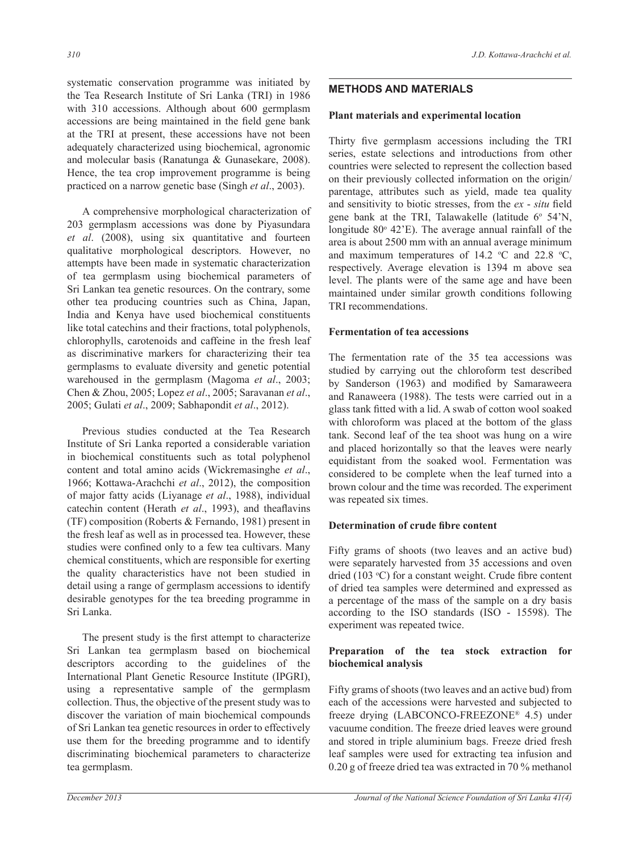systematic conservation programme was initiated by the Tea Research Institute of Sri Lanka (TRI) in 1986 with 310 accessions. Although about 600 germplasm accessions are being maintained in the field gene bank at the TRI at present, these accessions have not been adequately characterized using biochemical, agronomic and molecular basis (Ranatunga & Gunasekare, 2008). Hence, the tea crop improvement programme is being practiced on a narrow genetic base (Singh *et al*., 2003).

A comprehensive morphological characterization of 203 germplasm accessions was done by Piyasundara *et al*. (2008), using six quantitative and fourteen qualitative morphological descriptors. However, no attempts have been made in systematic characterization of tea germplasm using biochemical parameters of Sri Lankan tea genetic resources. On the contrary, some other tea producing countries such as China, Japan, India and Kenya have used biochemical constituents like total catechins and their fractions, total polyphenols, chlorophylls, carotenoids and caffeine in the fresh leaf as discriminative markers for characterizing their tea germplasms to evaluate diversity and genetic potential warehoused in the germplasm (Magoma *et al*., 2003; Chen & Zhou, 2005; Lopez *et al*., 2005; Saravanan *et al*., 2005; Gulati *et al*., 2009; Sabhapondit *et al*., 2012).

Previous studies conducted at the Tea Research Institute of Sri Lanka reported a considerable variation in biochemical constituents such as total polyphenol content and total amino acids (Wickremasinghe *et al*., 1966; Kottawa-Arachchi *et al*., 2012), the composition of major fatty acids (Liyanage *et al*., 1988), individual catechin content (Herath *et al*., 1993), and theaflavins (TF) composition (Roberts & Fernando, 1981) present in the fresh leaf as well as in processed tea. However, these studies were confined only to a few tea cultivars. Many chemical constituents, which are responsible for exerting the quality characteristics have not been studied in detail using a range of germplasm accessions to identify desirable genotypes for the tea breeding programme in Sri Lanka.

The present study is the first attempt to characterize Sri Lankan tea germplasm based on biochemical descriptors according to the guidelines of the International Plant Genetic Resource Institute (IPGRI), using a representative sample of the germplasm collection. Thus, the objective of the present study was to discover the variation of main biochemical compounds of Sri Lankan tea genetic resources in order to effectively use them for the breeding programme and to identify discriminating biochemical parameters to characterize tea germplasm.

# **METHODS AND MATERIALS**

## **Plant materials and experimental location**

Thirty five germplasm accessions including the TRI series, estate selections and introductions from other countries were selected to represent the collection based on their previously collected information on the origin/ parentage, attributes such as yield, made tea quality and sensitivity to biotic stresses, from the *ex* - *situ* field gene bank at the TRI, Talawakelle (latitude  $6^{\circ}$  54'N, longitude  $80^{\circ}$  42'E). The average annual rainfall of the area is about 2500 mm with an annual average minimum and maximum temperatures of 14.2  $\degree$ C and 22.8  $\degree$ C, respectively. Average elevation is 1394 m above sea level. The plants were of the same age and have been maintained under similar growth conditions following TRI recommendations.

#### **Fermentation of tea accessions**

The fermentation rate of the 35 tea accessions was studied by carrying out the chloroform test described by Sanderson (1963) and modified by Samaraweera and Ranaweera (1988). The tests were carried out in a glass tank fitted with a lid. A swab of cotton wool soaked with chloroform was placed at the bottom of the glass tank. Second leaf of the tea shoot was hung on a wire and placed horizontally so that the leaves were nearly equidistant from the soaked wool. Fermentation was considered to be complete when the leaf turned into a brown colour and the time was recorded. The experiment was repeated six times.

## **Determination of crude fibre content**

Fifty grams of shoots (two leaves and an active bud) were separately harvested from 35 accessions and oven dried (103 °C) for a constant weight. Crude fibre content of dried tea samples were determined and expressed as a percentage of the mass of the sample on a dry basis according to the ISO standards (ISO - 15598). The experiment was repeated twice.

## **Preparation of the tea stock extraction for biochemical analysis**

Fifty grams of shoots (two leaves and an active bud) from each of the accessions were harvested and subjected to freeze drying (LABCONCO-FREEZONE® 4.5) under vacuume condition. The freeze dried leaves were ground and stored in triple aluminium bags. Freeze dried fresh leaf samples were used for extracting tea infusion and 0.20 g of freeze dried tea was extracted in 70 % methanol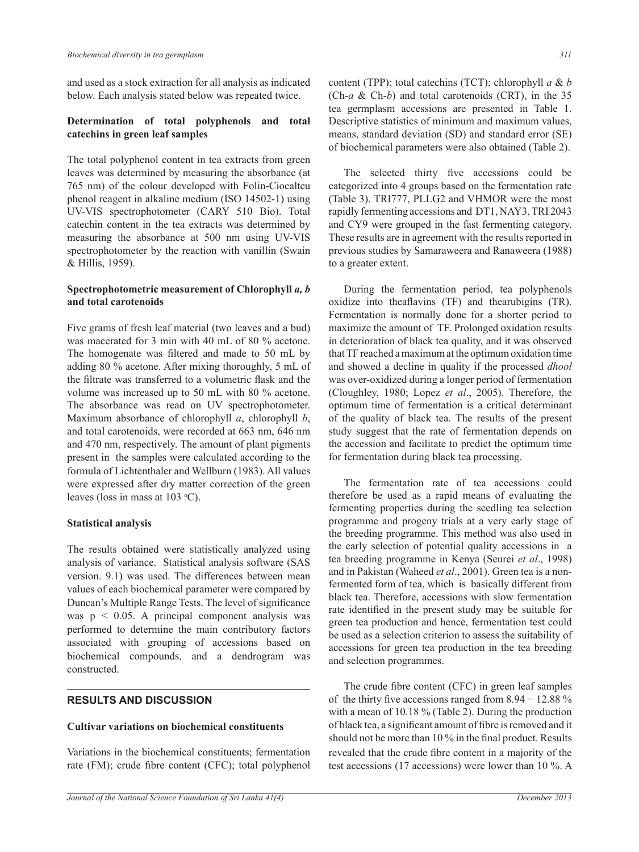and used as a stock extraction for all analysis as indicated below. Each analysis stated below was repeated twice.

## **Determination of total polyphenols and total catechins in green leaf samples**

The total polyphenol content in tea extracts from green leaves was determined by measuring the absorbance (at 765 nm) of the colour developed with Folin-Ciocalteu phenol reagent in alkaline medium (ISO 14502-1) using UV-VIS spectrophotometer (CARY 510 Bio). Total catechin content in the tea extracts was determined by measuring the absorbance at 500 nm using UV-VIS spectrophotometer by the reaction with vanillin (Swain & Hillis, 1959).

#### **Spectrophotometric measurement of Chlorophyll** *a, b*  **and total carotenoids**

Five grams of fresh leaf material (two leaves and a bud) was macerated for 3 min with 40 mL of 80 % acetone. The homogenate was filtered and made to 50 mL by adding 80 % acetone. After mixing thoroughly, 5 ml of the filtrate was transferred to a volumetric flask and the volume was increased up to 50 ml with 80 % acetone. The absorbance was read on UV spectrophotometer. Maximum absorbance of chlorophyll *a*, chlorophyll *b*, and total carotenoids, were recorded at 663 nm, 646 nm and 470 nm, respectively. The amount of plant pigments present in the samples were calculated according to the formula of Lichtenthaler and Wellburn (1983). All values were expressed after dry matter correction of the green leaves (loss in mass at  $103 \text{ °C}$ ).

## **Statistical analysis**

The results obtained were statistically analyzed using analysis of variance. Statistical analysis software (SAS version. 9.1) was used. The differences between mean values of each biochemical parameter were compared by Duncan's Multiple Range Tests. The level of significance was  $p < 0.05$ . A principal component analysis was performed to determine the main contributory factors associated with grouping of accessions based on biochemical compounds, and a dendrogram was constructed.

## **RESULTS AND DISCUSSION**

#### **Cultivar variations on biochemical constituents**

Variations in the biochemical constituents; fermentation rate (FM); crude fibre content (CFC); total polyphenol content (TPP); total catechins (TCT); chlorophyll *a* & *b* (Ch-*a* & Ch-*b*) and total carotenoids (CRT), in the 35 tea germplasm accessions are presented in Table 1. Descriptive statistics of minimum and maximum values, means, standard deviation (SD) and standard error (SE) of biochemical parameters were also obtained (Table 2).

The selected thirty five accessions could be categorized into 4 groups based on the fermentation rate (Table 3). TRI777, PLLG2 and VHMOR were the most rapidly fermenting accessions and DT1, NAY3, TRI 2043 and CY9 were grouped in the fast fermenting category. These results are in agreement with the results reported in previous studies by Samaraweera and Ranaweera (1988) to a greater extent.

During the fermentation period, tea polyphenols oxidize into theaflavins (TF) and thearubigins (TR). Fermentation is normally done for a shorter period to maximize the amount of TF. Prolonged oxidation results in deterioration of black tea quality, and it was observed that TF reached a maximum at the optimum oxidation time and showed a decline in quality if the processed *dhool*  was over-oxidized during a longer period of fermentation (Cloughley, 1980; Lopez *et al*., 2005). Therefore, the optimum time of fermentation is a critical determinant of the quality of black tea. The results of the present study suggest that the rate of fermentation depends on the accession and facilitate to predict the optimum time for fermentation during black tea processing.

The fermentation rate of tea accessions could therefore be used as a rapid means of evaluating the fermenting properties during the seedling tea selection programme and progeny trials at a very early stage of the breeding programme. This method was also used in the early selection of potential quality accessions in a tea breeding programme in Kenya (Seurei *et al*., 1998) and in Pakistan (Waheed *et al.*, 2001). Green tea is a nonfermented form of tea, which is basically different from black tea. Therefore, accessions with slow fermentation rate identified in the present study may be suitable for green tea production and hence, fermentation test could be used as a selection criterion to assess the suitability of accessions for green tea production in the tea breeding and selection programmes.

The crude fibre content (CFC) in green leaf samples of the thirty five accessions ranged from 8.94 − 12.88 % with a mean of 10.18 % (Table 2). During the production of black tea, a significant amount of fibre is removed and it should not be more than 10 % in the final product. Results revealed that the crude fibre content in a majority of the test accessions (17 accessions) were lower than 10 %. A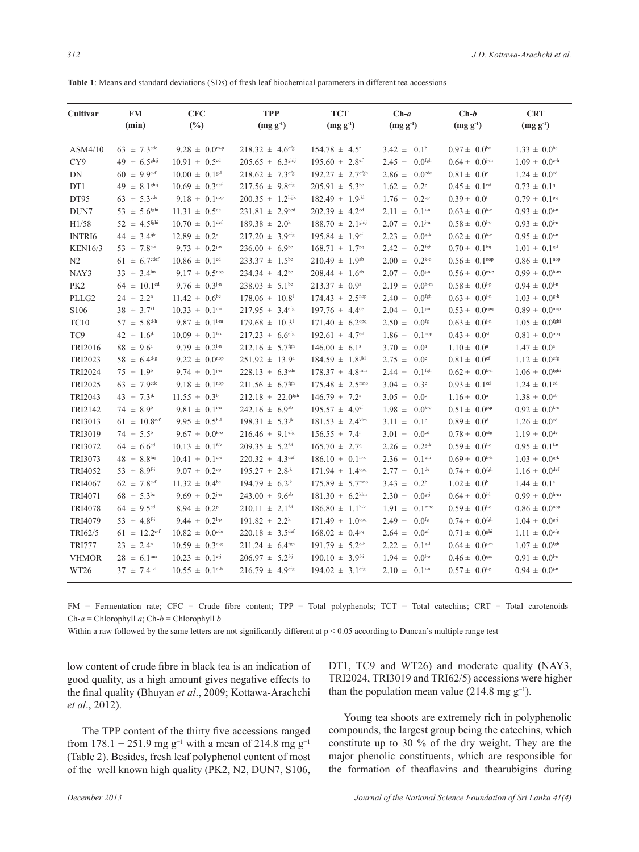| Cultivar          | <b>FM</b><br>(min)           | <b>CFC</b><br>$(\%)$           | <b>TPP</b><br>$(mg g-1)$         | <b>TCT</b><br>$(mg g-1)$         | $Ch-a$<br>$(mg g^{-1})$            | $Ch-b$<br>$(mg g-1)$          | <b>CRT</b><br>$(mg g-1)$       |
|-------------------|------------------------------|--------------------------------|----------------------------------|----------------------------------|------------------------------------|-------------------------------|--------------------------------|
| ASM4/10           | $63 \pm 7.3$ <sup>cde</sup>  | $9.28 \pm 0.0$ <sup>m-p</sup>  | $218.32 \pm 4.6$ <sup>efg</sup>  | $154.78 \pm 4.5$ <sup>r</sup>    | $3.42 \pm 0.1^b$                   | $0.97 \pm 0.0^{bc}$           | $1.33 \pm 0.0^{bc}$            |
| CY9               | $49 \pm 6.5$ <sup>ghij</sup> | $10.91 \pm 0.5$ <sup>cd</sup>  | $205.65 \pm 6.3$ <sup>ghij</sup> | $195.60 \pm 2.8$ <sup>ef</sup>   | $2.45 \pm$<br>0.0 <sup>fgh</sup>   | $0.64 \pm 0.0^{j-m}$          | $1.09 \pm 0.0$ <sup>e-h</sup>  |
| DN                | $60 \pm 9.9^{\text{c-f}}$    | $10.00 \pm 0.1^{g-1}$          | $218.62 \pm 7.3$ <sup>efg</sup>  | $192.27 \pm 2.7$ <sup>efgh</sup> | $2.86 \pm$<br>$0.0$ <sup>cde</sup> | $0.81 \pm 0.0^{\circ}$        | $1.24 \pm 0.0$ <sup>cd</sup>   |
| DT1               | $49 \pm 8.1$ <sup>ghij</sup> | $10.69 \pm 0.3$ def            | $217.56 \pm 9.8$ <sup>efg</sup>  | $205.91 \pm 5.3^{bc}$            | $1.62 \pm$<br>0.2 <sup>p</sup>     | $0.45 \pm 0.1$ <sup>rst</sup> | $0.73 \pm 0.19$                |
| DT95              | $63 \pm 5.3$ <sup>cde</sup>  | $9.18 \pm 0.1^{nop}$           | $200.35 \pm 1.2$ hijk            | $182.49 \pm 1.9$ <sup>jkl</sup>  | $1.76 \pm 0.2^{\text{op}}$         | $0.39 \pm 0.0^{\text{t}}$     | $0.79 \pm 0.1^{pq}$            |
| DUN7              | $53 \pm 5.6$ <sup>fghi</sup> | $11.31 \pm 0.5$ <sup>dc</sup>  | $231.81 \pm 2.9^{bcd}$           | $202.39 \pm 4.2$ <sup>cd</sup>   | $2.11 \pm 0.1^{i-n}$               | $0.63 \pm 0.0^{k-n}$          | $0.93 \pm 0.0^{j-n}$           |
| H1/58             | $52 \pm 4.5$ <sup>fghi</sup> | $10.70 \pm 0.1$ <sup>def</sup> | $189.38 \pm 2.0^k$               | $188.70 \pm 2.1$ <sup>ghij</sup> | $2.07 \pm$<br>$0.1^{j-n}$          | $0.58 \pm 0.0^{1-\circ}$      | $0.93 \pm 0.0^{j-n}$           |
| <b>INTRI6</b>     | $44 \pm 3.4$ <sup>ijk</sup>  | $12.89 \pm 0.2^{\circ}$        | $217.20 \pm 3.9$ <sup>efg</sup>  | $195.84 \pm 1.9$ <sup>ef</sup>   | $2.23 \pm$<br>$0.0^{g-k}$          | $0.62 \pm 0.0^{k-n}$          | $0.95 \pm 0.0^{i-n}$           |
| <b>KEN16/3</b>    | $53 \pm 7.8$ <sup>e-i</sup>  | $9.73 \pm 0.2^{j-n}$           | $236.00 \pm 6.9^{bc}$            | $168.71 \pm 1.7^{pq}$            | $2.42 \pm$<br>0.2 <sup>fgh</sup>   | $0.70 \pm 0.1$ hij            | $1.01 \pm 0.1$ <sup>g-1</sup>  |
| N <sub>2</sub>    | $61 \pm 6.7$ <sup>cdef</sup> | $10.86 \pm 0.1$ <sup>cd</sup>  | $233.37 \pm 1.5^{bc}$            | $210.49 \pm 1.9^{ab}$            | $2.00 \pm$<br>$0.2^{k-0}$          | $0.56 \pm 0.1^{nop}$          | $0.86 \pm 0.1^{nop}$           |
| NAY3              | $33 \pm 3.4^{\text{lm}}$     | $9.17 \pm 0.5^{top}$           | $234.34 \pm 4.2^{bc}$            | $208.44 \pm 1.6^{ab}$            | $2.07 \pm$<br>$0.0^{j-n}$          | $0.56 \pm 0.0$ <sup>m-p</sup> | $0.99 \pm 0.0$ h-m             |
| PK <sub>2</sub>   | $64 \pm 10.1$ <sup>cd</sup>  | $9.76 \pm 0.3^{j-n}$           | $238.03 \pm 5.1^{\text{bc}}$     | $213.37 \pm 0.9^{\circ}$         | $2.19 \pm$<br>$0.0h-m$             | $0.58 \pm 0.0^{1-p}$          | $0.94 \pm 0.0^{j-n}$           |
| PLLG <sub>2</sub> | $24 \pm 2.2^{\rm n}$         | $11.42 \pm 0.6^{\rm bc}$       | $178.06 \pm 10.8$                | $174.43 \pm 2.5^{nop}$           | $2.40 \pm$<br>$0.0$ <sup>fgh</sup> | $0.63 \pm 0.0^{j-n}$          | $1.03 \pm 0.0$ <sup>g-k</sup>  |
| S106              | $38 \pm 3.7^{kl}$            | $10.33 \pm 0.1$ d-i            | $217.95 \pm 3.4$ <sup>efg</sup>  | $197.76 \pm 4.4^{\text{de}}$     | $2.04 \pm$<br>$0.1^{j-n}$          | $0.53 \pm 0.0$ <sup>opq</sup> | $0.89 \pm 0.0$ <sup>m-p</sup>  |
| <b>TC10</b>       | $57 \pm 5.8^{\text{d-h}}$    | $9.87 \pm 0.1$ <sup>i-m</sup>  | $179.68 \pm 10.3$ <sup>1</sup>   | $171.40 \pm 6.2$ <sup>opq</sup>  | $2.50 \pm$<br>$0.0$ <sup>fg</sup>  | $0.63 \pm 0.0^{j-n}$          | $1.05 \pm 0.0$ <sup>fghi</sup> |
| TC9               | 42 $\pm 1.6^{jk}$            | $10.09 \pm 0.1$ <sup>f-k</sup> | $217.23 \pm 6.6$ <sup>efg</sup>  | $192.61 \pm 4.7$ <sup>e-h</sup>  | $1.86 \pm$<br>$0.1^{nop}$          | $0.43 \pm 0.0$ <sup>st</sup>  | $0.81 \pm 0.0$ <sup>opq</sup>  |
| <b>TRI2016</b>    | $88 \pm 9.6^{\circ}$         | $9.79 \pm 0.2^{i-n}$           | $212.16 \pm 5.7$ <sup>fgh</sup>  | $146.00 \pm 6.1$ <sup>s</sup>    | $3.70 \pm$<br>0.0 <sup>a</sup>     | $1.10 \pm 0.0^a$              | $1.47 \pm 0.0^{\circ}$         |
| TRI2023           | $58 \pm 6.4$ d-g             | $9.22 \pm 0.0^{top}$           | $251.92 \pm 13.9^{\circ}$        | $184.59 \pm 1.8$ <sup>ijkl</sup> | $2.75 \pm$<br>0.0 <sup>e</sup>     | $0.81 \pm 0.0$ <sup>ef</sup>  | $1.12 \pm 0.0$ <sup>efg</sup>  |
| <b>TRI2024</b>    | $75 \pm 1.9^b$               | $9.74 \pm 0.1^{j-n}$           | $228.13 \pm 6.3$ <sup>cde</sup>  | $178.37 \pm 4.8$ <sup>lmn</sup>  | 0.1 <sup>fgh</sup><br>$2.44 \pm$   | $0.62 \pm 0.0^{k-n}$          | $1.06 \pm 0.0$ <sup>fghi</sup> |
| TRI2025           | $63 \pm 7.9$ <sup>cde</sup>  | $9.18 \pm 0.1^{nop}$           | $211.56 \pm 6.7$ <sup>fgh</sup>  | $175.48 \pm 2.5^{\text{mno}}$    | $3.04 \pm$<br>0.3 <sup>c</sup>     | $0.93 \pm 0.1$ <sup>cd</sup>  | $1.24 \pm 0.1$ <sup>cd</sup>   |
| TRI2043           | $43 \pm 7.3^{jk}$            | $11.55 \pm 0.3^b$              | $212.18 \pm 22.0$ <sup>fgh</sup> | $146.79 \pm 7.2$ <sup>s</sup>    | $3.05 \pm$<br>0.0 <sup>c</sup>     | $1.16 \pm 0.0^a$              | $1.38 \pm 0.0^{ab}$            |
| TRI2142           | $74 \pm 8.9^b$               | $9.81 \pm 0.1$ <sup>i-n</sup>  | $242.16 \pm 6.9^{ab}$            | $195.57 \pm 4.9$ <sup>ef</sup>   | $1.98 \pm$<br>$0.0^{k-0}$          | $0.51 \pm 0.0$ <sup>pqr</sup> | $0.92 \pm 0.0^{k-0}$           |
| TRI3013           | $61 \pm 10.8$ c-f            | $9.95 \pm 0.5^{h-l}$           | $198.31 \pm 5.3$ <sup>ijk</sup>  | $181.53 \pm 2.4$ <sup>klm</sup>  | $3.11 \pm$<br>0.1 <sup>c</sup>     | $0.89 \pm 0.0$ <sup>d</sup>   | $1.26 \pm 0.0$ <sup>cd</sup>   |
| TRI3019           | $74 \pm 5.5^{\rm b}$         | $9.67 \pm 0.0^{k_{-0}}$        | $216.46 \pm 9.1$ <sup>efg</sup>  | $156.55 \pm 7.4$ <sup>r</sup>    | $3.01 \pm$<br>0.0 <sup>cd</sup>    | $0.78 \pm 0.0$ <sup>efg</sup> | $1.19 \pm 0.0$ <sup>de</sup>   |
| TRI3072           | $64 \pm 6.6$ <sup>cd</sup>   | $10.13 \pm 0.1$ <sup>f-k</sup> | $209.35 \pm 5.2$ <sup>f-i</sup>  | $165.70 \pm 2.79$                | $2.26 \pm$<br>$0.2^{g-k}$          | $0.59 \pm 0.0^{1-\circ}$      | $0.95 \pm 0.1$ <sup>i-n</sup>  |
| TRI3073           | $48 \pm 8.8$ hij             | $10.41 \pm 0.1$ <sup>d-i</sup> | $220.32 \pm 4.3^{\text{def}}$    | $186.10 \pm 0.1^{h-k}$           | $2.36 \pm$<br>0.1 <sup>ghi</sup>   | $0.69 \pm 0.0^{h-k}$          | $1.03 \pm 0.0$ <sup>g-k</sup>  |
| TRI4052           | 53 $\pm$ 8.9 <sup>f-i</sup>  | $9.07 \pm 0.2^{\text{op}}$     | $195.27 \pm 2.8$ <sup>jk</sup>   | $171.94 \pm 1.4$ <sup>opq</sup>  | $2.77 \pm$<br>0.1 <sup>de</sup>    | $0.74 \pm 0.0$ <sup>fgh</sup> | $1.16 \pm 0.0$ def             |
| <b>TRI4067</b>    | $62 \pm 7.8$ c-f             | $11.32 \pm 0.4^{\text{bc}}$    | $194.79 \pm 6.2^{jk}$            | $175.89 \pm 5.7$ <sup>mno</sup>  | $3.43 \pm$<br>0.2 <sup>b</sup>     | $1.02 \pm 0.0^b$              | $1.44 \pm 0.1^{\circ}$         |
| TRI4071           | $68 \pm 5.3^{\rm bc}$        | $9.69 \pm 0.2^{j-n}$           | $243.00 \pm 9.6^{ab}$            | $181.30 \pm 6.2$ <sup>klm</sup>  | $2.30 \pm$<br>$0.0g-j$             | $0.64 \pm 0.0^{i-1}$          | $0.99 \pm 0.0$ h-m             |
| <b>TRI4078</b>    | $64 \pm 9.5$ <sup>cd</sup>   | $8.94 \pm 0.2^p$               | $210.11 \pm 2.1$ <sup>f-i</sup>  | $186.80 \pm 1.1^{\text{h-k}}$    | $1.91 =$<br>$0.1^{\rm mno}$        | $0.59 \pm 0.0^{1-\circ}$      | $0.86 \pm 0.0^{top}$           |
| TRI4079           | $53 \pm 4.8$ <sup>f-i</sup>  | 9.44 $\pm$ 0.2 <sup>1-p</sup>  | $191.82 \pm 2.2^k$               | $171.49 \pm 1.0^{opq}$           | $2.49 \pm$<br>$0.0$ <sup>fg</sup>  | $0.74 \pm 0.0$ <sup>fgh</sup> | $1.04 \pm 0.0$ <sup>g-j</sup>  |
| TRI62/5           | $61 \pm 12.2^{\text{c-f}}$   | $10.82 \pm 0.0$ <sup>cde</sup> | $220.18 \pm 3.5$ def             | $168.02 \pm 0.4^{pq}$            | $2.64 \pm$<br>0.0 <sup>ef</sup>    | $0.71 \pm 0.0$ <sup>ghi</sup> | $1.11 \pm 0.0$ <sup>efg</sup>  |
| <b>TRI777</b>     | $23 \pm 2.4^{\rm n}$         | $10.59 \pm 0.3$ d-g            | $211.24 \pm 6.4$ <sup>fgh</sup>  | $191.79 \pm 5.2$ <sup>e-h</sup>  | $2.22 \pm 0.1^{g-1}$               | $0.64 \pm 0.0^{j-m}$          | $1.07 \pm 0.0$ <sup>fgh</sup>  |
| <b>VHMOR</b>      | $28 \pm 6.1^{\text{mn}}$     | $10.23 \pm 0.1$ <sup>e-j</sup> | $206.97 \pm 5.2$ <sup>f-j</sup>  | $190.10 \pm 3.9$ <sup>f-i</sup>  | $1.94 \pm$<br>$0.0^{1-\circ}$      | $0.46 \pm 0.0$ <sup>qrs</sup> | $0.91 \pm 0.0^{1-\circ}$       |
| WT <sub>26</sub>  | $37 \pm 7.4$ kl              | $10.55 \pm 0.1$ <sup>d-h</sup> | $216.79 \pm 4.9$ <sup>efg</sup>  | $194.02 \pm 3.1$ <sup>efg</sup>  | $2.10 \pm 0.1$ <sup>i-n</sup>      | $0.57 \pm 0.0^{1-p}$          | $0.94 \pm 0.0^{j-n}$           |

FM = Fermentation rate; CFC = Crude fibre content; TPP = Total polyphenols; TCT = Total catechins; CRT = Total carotenoids Ch-*a* = Chlorophyll *a*; Ch-*b* = Chlorophyll *b*

Within a raw followed by the same letters are not significantly different at  $p < 0.05$  according to Duncan's multiple range test

low content of crude fibre in black tea is an indication of good quality, as a high amount gives negative effects to the final quality (Bhuyan *et al*., 2009; Kottawa-Arachchi *et al*., 2012).

The TPP content of the thirty five accessions ranged from 178.1 − 251.9 mg g<sup>-1</sup> with a mean of 214.8 mg g<sup>-1</sup> (Table 2). Besides, fresh leaf polyphenol content of most of the well known high quality (PK2, N2, DUN7, S106,

DT1, TC9 and WT26) and moderate quality (NAY3, TRI2024, TRI3019 and TRI62/5) accessions were higher than the population mean value (214.8 mg  $g^{-1}$ ).

Young tea shoots are extremely rich in polyphenolic compounds, the largest group being the catechins, which constitute up to 30 % of the dry weight. They are the major phenolic constituents, which are responsible for the formation of theaflavins and thearubigins during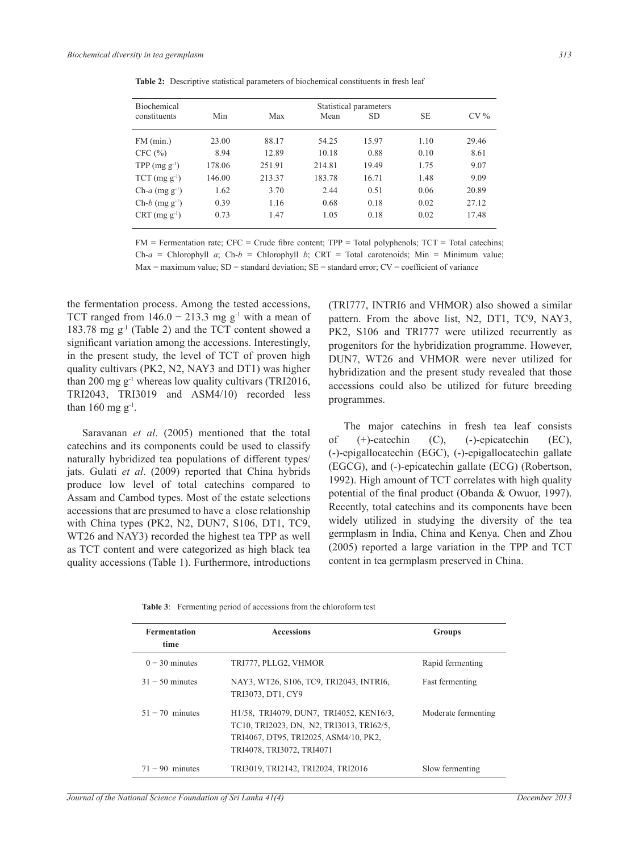| <b>Biochemical</b>           | Statistical parameters |        |        |           |           |        |  |
|------------------------------|------------------------|--------|--------|-----------|-----------|--------|--|
| constituents                 | Min                    | Max    | Mean   | <b>SD</b> | <b>SE</b> | $CV\%$ |  |
| $FM$ (min.)                  | 23.00                  | 88.17  | 54.25  | 15.97     | 1.10      | 29.46  |  |
| CFC (%)                      | 8.94                   | 12.89  | 10.18  | 0.88      | 0.10      | 8.61   |  |
| TPP $(mg g^{-1})$            | 178.06                 | 251.91 | 214.81 | 19.49     | 1.75      | 9.07   |  |
| $TCT$ (mg $g^{-1}$ )         | 146.00                 | 213.37 | 183.78 | 16.71     | 1.48      | 9.09   |  |
| $Ch-a$ (mg g <sup>-1</sup> ) | 1.62                   | 3.70   | 2.44   | 0.51      | 0.06      | 20.89  |  |
| $Ch-b$ (mg $g^{-1}$ )        | 0.39                   | 1.16   | 0.68   | 0.18      | 0.02      | 27.12  |  |
| $CRT (mg g-1)$               | 0.73                   | 1.47   | 1.05   | 0.18      | 0.02      | 17.48  |  |

**Table 2:** Descriptive statistical parameters of biochemical constituents in fresh leaf

 $FM = Fermentation rate$ ;  $CFC = Crude fibre content$ ;  $TPP = Total polyphenols$ ;  $TCT = Total catechins$ ; Ch- $a$  = Chlorophyll  $a$ ; Ch- $b$  = Chlorophyll  $b$ ; CRT = Total carotenoids; Min = Minimum value;  $Max = maximum value$ ;  $SD = standard deviation$ ;  $SE = standard error$ ;  $CV = coefficient of variance$ 

the fermentation process. Among the tested accessions, TCT ranged from  $146.0 - 213.3$  mg g<sup>-1</sup> with a mean of 183.78 mg g-1 (Table 2) and the TCT content showed a significant variation among the accessions. Interestingly, in the present study, the level of TCT of proven high quality cultivars (PK2, N2, NAY3 and DT1) was higher than 200 mg  $g^{-1}$  whereas low quality cultivars (TRI2016, TRI2043, TRI3019 and ASM4/10) recorded less than 160 mg  $g^{-1}$ .

Saravanan *et al*. (2005) mentioned that the total catechins and its components could be used to classify naturally hybridized tea populations of different types/ jats. Gulati *et al*. (2009) reported that China hybrids produce low level of total catechins compared to Assam and Cambod types. Most of the estate selections accessions that are presumed to have a close relationship with China types (PK2, N2, DUN7, S106, DT1, TC9, WT26 and NAY3) recorded the highest tea TPP as well as TCT content and were categorized as high black tea quality accessions (Table 1). Furthermore, introductions (TRI777, INTRI6 and VHMOR) also showed a similar pattern. From the above list, N2, DT1, TC9, NAY3, PK2, S106 and TRI777 were utilized recurrently as progenitors for the hybridization programme. However, DUN7, WT26 and VHMOR were never utilized for hybridization and the present study revealed that those accessions could also be utilized for future breeding programmes.

The major catechins in fresh tea leaf consists of (+)-catechin (C), (-)-epicatechin (EC), (-)-epigallocatechin (EGC), (-)-epigallocatechin gallate (EGCG), and (-)-epicatechin gallate (ECG) (Robertson, 1992). High amount of TCT correlates with high quality potential of the final product (Obanda & Owuor, 1997). Recently, total catechins and its components have been widely utilized in studying the diversity of the tea germplasm in India, China and Kenya. Chen and Zhou (2005) reported a large variation in the TPP and TCT content in tea germplasm preserved in China.

| <b>Fermentation</b><br>time | <b>Accessions</b>                                                                                                                                         | Groups              |
|-----------------------------|-----------------------------------------------------------------------------------------------------------------------------------------------------------|---------------------|
| $0 - 30$ minutes            | TRI777, PLLG2, VHMOR                                                                                                                                      | Rapid fermenting    |
| $31 - 50$ minutes           | NAY3, WT26, S106, TC9, TRI2043, INTRI6,<br>TRI3073, DT1, CY9                                                                                              | Fast fermenting     |
| $51 - 70$ minutes           | H1/58, TRI4079, DUN7, TRI4052, KEN16/3,<br>TC10, TRI2023, DN, N2, TRI3013, TRI62/5,<br>TRI4067, DT95, TRI2025, ASM4/10, PK2,<br>TRI4078, TRI3072, TRI4071 | Moderate fermenting |
| $71 - 90$ minutes           | TRI3019, TRI2142, TRI2024, TRI2016                                                                                                                        | Slow fermenting     |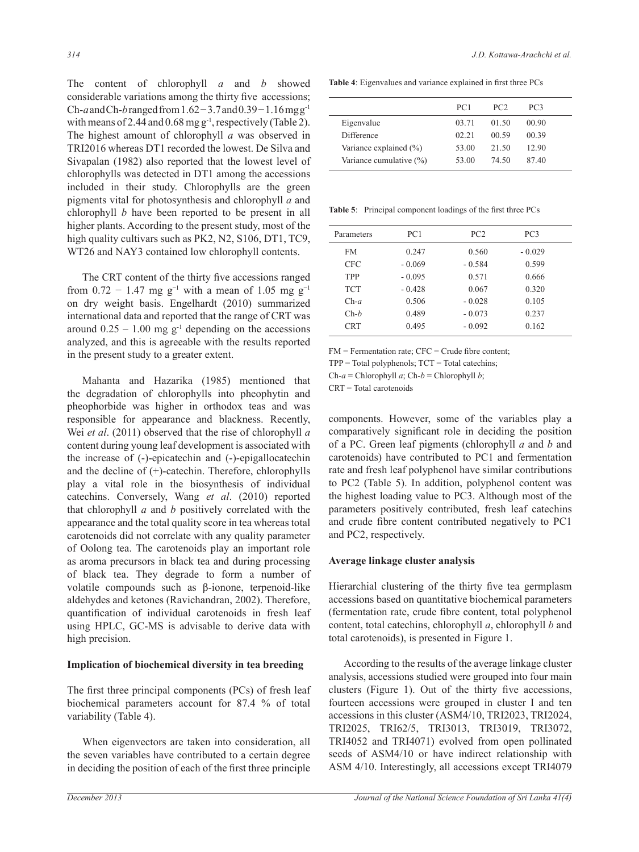The content of chlorophyll *a* and *b* showed considerable variations among the thirty five accessions; Ch-*a* and Ch-*b* ranged from 1.62 − 3.7 and 0.39 − 1.16 mg g-1 with means of 2.44 and  $0.68$  mg g<sup>-1</sup>, respectively (Table 2). The highest amount of chlorophyll *a* was observed in TRI2016 whereas DT1 recorded the lowest. De Silva and Sivapalan (1982) also reported that the lowest level of chlorophylls was detected in DT1 among the accessions included in their study. Chlorophylls are the green pigments vital for photosynthesis and chlorophyll *a* and chlorophyll *b* have been reported to be present in all higher plants. According to the present study, most of the high quality cultivars such as PK2, N2, S106, DT1, TC9, WT26 and NAY3 contained low chlorophyll contents.

The CRT content of the thirty five accessions ranged from  $0.72 - 1.47$  mg g<sup>-1</sup> with a mean of 1.05 mg g<sup>-1</sup> on dry weight basis. Engelhardt (2010) summarized international data and reported that the range of CRT was around  $0.25 - 1.00$  mg g<sup>-1</sup> depending on the accessions analyzed, and this is agreeable with the results reported in the present study to a greater extent.

Mahanta and Hazarika (1985) mentioned that the degradation of chlorophylls into pheophytin and pheophorbide was higher in orthodox teas and was responsible for appearance and blackness. Recently, Wei *et al*. (2011) observed that the rise of chlorophyll *a*  content during young leaf development is associated with the increase of (-)-epicatechin and (-)-epigallocatechin and the decline of (+)-catechin. Therefore, chlorophylls play a vital role in the biosynthesis of individual catechins. Conversely, Wang *et al*. (2010) reported that chlorophyll *a* and *b* positively correlated with the appearance and the total quality score in tea whereas total carotenoids did not correlate with any quality parameter of Oolong tea. The carotenoids play an important role as aroma precursors in black tea and during processing of black tea. They degrade to form a number of volatile compounds such as β-ionone, terpenoid-like aldehydes and ketones (Ravichandran, 2002). Therefore, quantification of individual carotenoids in fresh leaf using HPLC, GC-MS is advisable to derive data with high precision.

#### **Implication of biochemical diversity in tea breeding**

The first three principal components (PCs) of fresh leaf biochemical parameters account for 87.4 % of total variability (Table 4).

When eigenvectors are taken into consideration, all the seven variables have contributed to a certain degree in deciding the position of each of the first three principle

**Table 4**: Eigenvalues and variance explained in first three PCs

|                         | PC <sub>1</sub> | PC <sub>2</sub> | PC3   |
|-------------------------|-----------------|-----------------|-------|
| Eigenvalue              | 03.71           | 01.50           | 00.90 |
| Difference              | 02.21           | 00.59           | 00.39 |
| Variance explained (%)  | 53.00           | 21.50           | 12.90 |
| Variance cumulative (%) | 53.00           | 74.50           | 87.40 |

**Table 5**: Principal component loadings of the first three PCs

| Parameters | PC1      | PC2      | PC <sub>3</sub> |  |
|------------|----------|----------|-----------------|--|
| FM         | 0.247    | 0.560    | $-0.029$        |  |
| CFC        | $-0.069$ | $-0.584$ | 0.599           |  |
| <b>TPP</b> | $-0.095$ | 0.571    | 0.666           |  |
| <b>TCT</b> | $-0.428$ | 0.067    | 0.320           |  |
| $Ch-a$     | 0.506    | $-0.028$ | 0.105           |  |
| $Ch-b$     | 0.489    | $-0.073$ | 0.237           |  |
| <b>CRT</b> | 0.495    | $-0.092$ | 0.162           |  |
|            |          |          |                 |  |

 $FM = Fermentation rate$ ;  $CFC = Crude fibre content$ ;

 $TPP = Total polyphenols$ ;  $TCT = Total catechins$ ;

Ch-*a* = Chlorophyll *a*; Ch-*b* = Chlorophyll *b*;

 $CRT = Total$  carotenoids

components. However, some of the variables play a comparatively significant role in deciding the position of a PC. green leaf pigments (chlorophyll *a* and *b* and carotenoids) have contributed to PC1 and fermentation rate and fresh leaf polyphenol have similar contributions to PC2 (Table 5). In addition, polyphenol content was the highest loading value to PC3. Although most of the parameters positively contributed, fresh leaf catechins and crude fibre content contributed negatively to PC1 and PC2, respectively.

# **Average linkage cluster analysis**

Hierarchial clustering of the thirty five tea germplasm accessions based on quantitative biochemical parameters (fermentation rate, crude fibre content, total polyphenol content, total catechins, chlorophyll *a*, chlorophyll *b* and total carotenoids), is presented in Figure 1.

According to the results of the average linkage cluster analysis, accessions studied were grouped into four main clusters (Figure 1). Out of the thirty five accessions, fourteen accessions were grouped in cluster I and ten accessions in this cluster (ASM4/10, TRI2023, TRI2024, TRI2025, TRI62/5, TRI3013, TRI3019, TRI3072, TRI4052 and TRI4071) evolved from open pollinated seeds of ASM4/10 or have indirect relationship with ASM 4/10. Interestingly, all accessions except TRI4079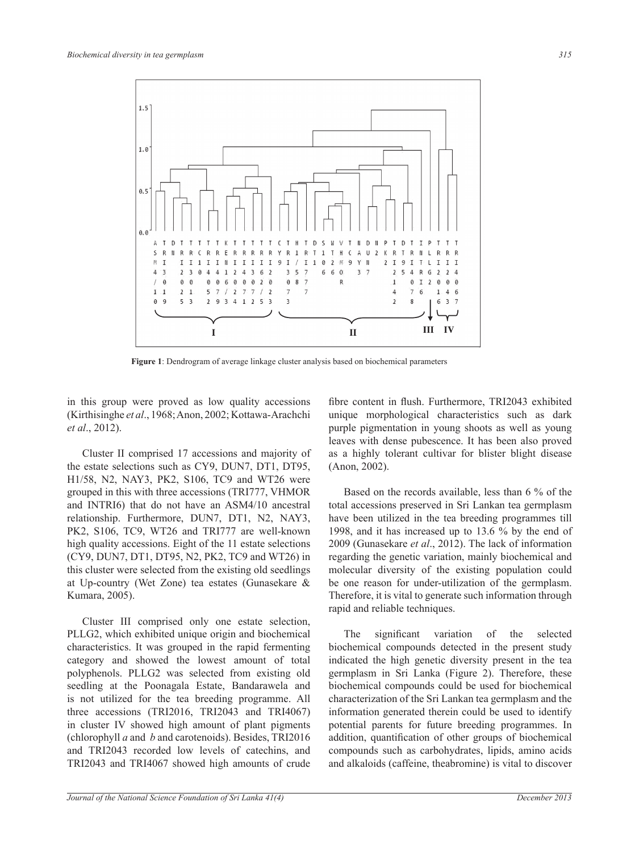

**Figure 1**: Dendrogram of average linkage cluster analysis based on biochemical parameters

in this group were proved as low quality accessions (Kirthisinghe *et al*., 1968; Anon, 2002; Kottawa-Arachchi *et al*., 2012).

Cluster II comprised 17 accessions and majority of the estate selections such as CY9, DUN7, DT1, DT95, H1/58, N2, NAY3, PK2, S106, TC9 and WT26 were grouped in this with three accessions (TRI777, VHMOR and INTRI6) that do not have an Asm4/10 ancestral relationship. Furthermore, DUN7, DT1, N2, NAY3, PK2, S106, TC9, WT26 and TRI777 are well-known high quality accessions. Eight of the 11 estate selections (CY9, DUN7, DT1, DT95, N2, PK2, TC9 and WT26) in this cluster were selected from the existing old seedlings at Up-country (Wet Zone) tea estates (Gunasekare & Kumara, 2005).

cluster III comprised only one estate selection, PLLG2, which exhibited unique origin and biochemical characteristics. It was grouped in the rapid fermenting category and showed the lowest amount of total polyphenols. PLLG2 was selected from existing old seedling at the Poonagala Estate, Bandarawela and is not utilized for the tea breeding programme. All three accessions (TRI2016, TRI2043 and TRI4067) in cluster IV showed high amount of plant pigments (chlorophyll *a* and *b* and carotenoids). Besides, TRI2016 and TRI2043 recorded low levels of catechins, and TRI2043 and TRI4067 showed high amounts of crude

fibre content in flush. Furthermore, TRI2043 exhibited unique morphological characteristics such as dark purple pigmentation in young shoots as well as young leaves with dense pubescence. It has been also proved as a highly tolerant cultivar for blister blight disease (Anon, 2002).

Based on the records available, less than 6 % of the total accessions preserved in Sri Lankan tea germplasm have been utilized in the tea breeding programmes till 1998, and it has increased up to 13.6 % by the end of 2009 (Gunasekare *et al*., 2012). The lack of information regarding the genetic variation, mainly biochemical and molecular diversity of the existing population could be one reason for under-utilization of the germplasm. Therefore, it is vital to generate such information through rapid and reliable techniques.

The significant variation of the selected biochemical compounds detected in the present study indicated the high genetic diversity present in the tea germplasm in Sri Lanka (Figure 2). Therefore, these biochemical compounds could be used for biochemical characterization of the Sri Lankan tea germplasm and the information generated therein could be used to identify potential parents for future breeding programmes. In addition, quantification of other groups of biochemical compounds such as carbohydrates, lipids, amino acids and alkaloids (caffeine, theabromine) is vital to discover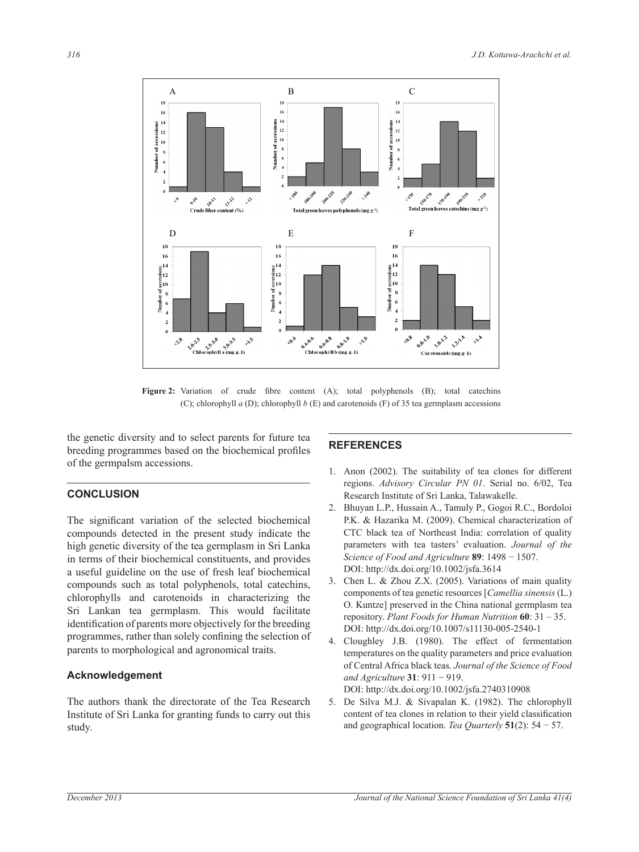

Figure 2: Variation of crude fibre content (A); total polyphenols (B); total catechins (C); chlorophyll  $a$  (D); chlorophyll  $b$  (E) and carotenoids (F) of 35 tea germplasm accessions

the genetic diversity and to select parents for future tea breeding programmes based on the biochemical profiles of the germpalsm accessions.

# **CONCLUSION**

The significant variation of the selected biochemical compounds detected in the present study indicate the high genetic diversity of the tea germplasm in Sri Lanka in terms of their biochemical constituents, and provides a useful guideline on the use of fresh leaf biochemical compounds such as total polyphenols, total catechins, chlorophylls and carotenoids in characterizing the Sri Lankan tea germplasm. This would facilitate identification of parents more objectively for the breeding programmes, rather than solely confining the selection of parents to morphological and agronomical traits.

## **Acknowledgement**

The authors thank the directorate of the Tea Research Institute of Sri Lanka for granting funds to carry out this study.

# **REFERENCES**

- 1. Anon (2002). The suitability of tea clones for different regions. *Advisory Circular PN 01*. Serial no. 6/02, Tea Research Institute of Sri Lanka, Talawakelle.
- 2. Bhuyan L.P., Hussain A., Tamuly P., Gogoi R.C., Bordoloi P.K. & Hazarika M. (2009). Chemical characterization of CTC black tea of Northeast India: correlation of quality parameters with tea tasters' evaluation. *Journal of the Science of Food and Agriculture* **89**: 1498 − 1507. DOI: http://dx.doi.org/10.1002/jsfa.3614
- 3. Chen L. & Zhou Z.X. (2005). Variations of main quality components of tea genetic resources [*Camellia sinensis* (L.) O. Kuntze] preserved in the China national germplasm tea repository. *Plant Foods for Human Nutrition* **60**: 31 – 35. DOI: http://dx.doi.org/10.1007/s11130-005-2540-1
- 4. Cloughley J.B. (1980). The effect of fermentation temperatures on the quality parameters and price evaluation of Central Africa black teas. *Journal of the Science of Food and Agriculture* **31**: 911 − 919.

DOI: http://dx.doi.org/10.1002/jsfa.2740310908

5. De Silva M.J. & Sivapalan K. (1982). The chlorophyll content of tea clones in relation to their yield classification and geographical location. *Tea Quarterly* **51**(2): 54 − 57.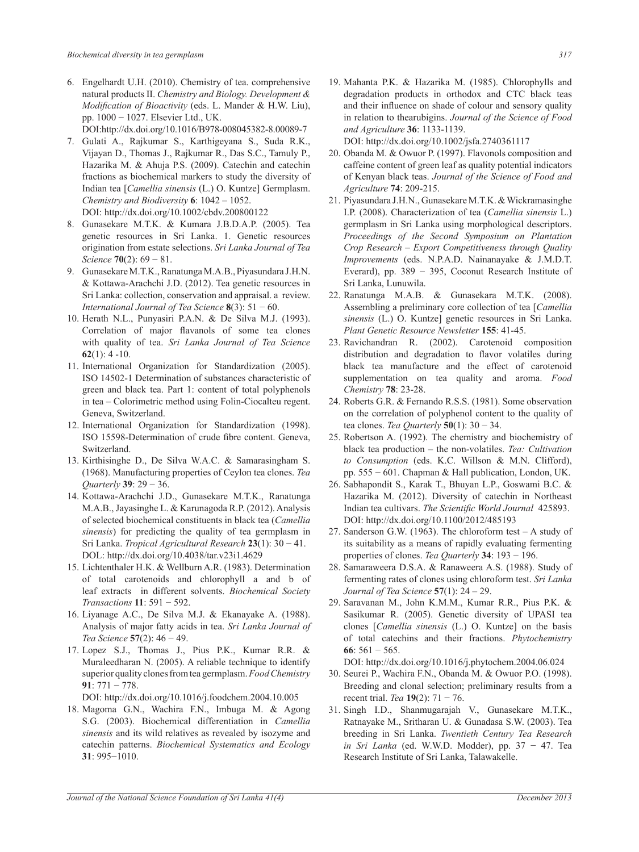6. Engelhardt U.H. (2010). Chemistry of tea. comprehensive natural products II. *Chemistry and Biology. Development & Modification of Bioactivity* (eds. L. Mander & H.W. Liu), pp. 1000 − 1027. Elsevier Ltd., UK.

DOI:http://dx.doi.org/10.1016/B978-008045382-8.00089-7

- 7. Gulati A., Rajkumar S., Karthigeyana S., Suda R.K., Vijayan D., Thomas J., Rajkumar R., Das S.C., Tamuly P., Hazarika M. & Ahuja P.S. (2009). Catechin and catechin fractions as biochemical markers to study the diversity of Indian tea [*Camellia sinensis* (L.) O. Kuntze] Germplasm. *Chemistry and Biodiversity* **6**: 1042 – 1052. DOI: http://dx.doi.org/10.1002/cbdv.200800122
- 8. Gunasekare M.T.K. & Kumara J.B.D.A.P. (2005). Tea genetic resources in Sri Lanka. 1. Genetic resources origination from estate selections. *Sri Lanka Journal of Tea Science* **70**(2): 69 − 81.
- 9. Gunasekare M.T.K., Ranatunga M.A.B., Piyasundara J.H.N. & Kottawa-Arachchi J.D. (2012). Tea genetic resources in Sri Lanka: collection, conservation and appraisal. a review. *International Journal of Tea Science* **8**(3): 51 − 60.
- 10. Herath N.L., Punyasiri P.A.N. & De Silva M.J. (1993). Correlation of major flavanols of some tea clones with quality of tea. *Sri Lanka Journal of Tea Science* **62**(1): 4 -10.
- 11. International Organization for Standardization (2005). ISO 14502-1 Determination of substances characteristic of green and black tea. Part 1: content of total polyphenols in tea – Colorimetric method using Folin-Ciocalteu regent. Geneva, Switzerland.
- 12. International Organization for Standardization (1998). ISO 15598-Determination of crude fibre content. Geneva, Switzerland.
- 13. Kirthisinghe D., De Silva W.A.C. & Samarasingham S. (1968). Manufacturing properties of Ceylon tea clones. *Tea Quarterly* **39**: 29 − 36.
- 14. Kottawa-Arachchi J.D., Gunasekare M.T.K., Ranatunga M.A.B., Jayasinghe L. & Karunagoda R.P. (2012). Analysis of selected biochemical constituents in black tea (*Camellia sinensis*) for predicting the quality of tea germplasm in Sri Lanka. *Tropical Agricultural Research* **23**(1): 30 − 41. DOL: http://dx.doi.org/10.4038/tar.v23i1.4629
- 15. Lichtenthaler H.K. & Wellburn A.R. (1983). Determination of total carotenoids and chlorophyll a and b of leaf extracts in different solvents. *Biochemical Society Transactions* **11**: 591 − 592.
- 16. Liyanage A.C., De Silva M.J. & Ekanayake A. (1988). Analysis of major fatty acids in tea. *Sri Lanka Journal of Tea Science* **57**(2): 46 − 49.
- 17. Lopez S.J., Thomas J., Pius P.K., Kumar R.R. & Muraleedharan N. (2005). A reliable technique to identify superior quality clones from tea germplasm. *Food Chemistry* **91**: 771 − 778.

DOI: http://dx.doi.org/10.1016/j.foodchem.2004.10.005

18. Magoma G.N., Wachira F.N., Imbuga M. & Agong S.G. (2003). Biochemical differentiation in *Camellia sinensis* and its wild relatives as revealed by isozyme and catechin patterns. *Biochemical Systematics and Ecology* **31**: 995−1010.

- 19. Mahanta P.K. & Hazarika M. (1985). Chlorophylls and degradation products in orthodox and CTC black teas and their influence on shade of colour and sensory quality in relation to thearubigins. *Journal of the Science of Food and Agriculture* **36**: 1133-1139. DOI: http://dx.doi.org/10.1002/jsfa.2740361117
- 20. Obanda M. & Owuor P. (1997). Flavonols composition and caffeine content of green leaf as quality potential indicators of Kenyan black teas. *Journal of the Science of Food and Agriculture* **74**: 209-215.
- 21. Piyasundara J.H.N., Gunasekare M.T.K. & Wickramasinghe I.P. (2008). Characterization of tea (*Camellia sinensis* L.) germplasm in Sri Lanka using morphological descriptors. *Proceedings of the Second Symposium on Plantation Crop Research – Export Competitiveness through Quality Improvements* (eds. N.P.A.D. Nainanayake & J.M.D.T. Everard), pp. 389 − 395, Coconut Research Institute of Sri Lanka, Lunuwila.
- 22. Ranatunga M.A.B. & Gunasekara M.T.K. (2008). Assembling a preliminary core collection of tea [*Camellia sinensis* (L.) O. Kuntze] genetic resources in Sri Lanka. *Plant Genetic Resource Newsletter* **155**: 41-45.
- 23. Ravichandran R. (2002). Carotenoid composition distribution and degradation to flavor volatiles during black tea manufacture and the effect of carotenoid supplementation on tea quality and aroma. *Food Chemistry* **78**: 23-28.
- 24. Roberts G.R. & Fernando R.S.S. (1981). Some observation on the correlation of polyphenol content to the quality of tea clones. *Tea Quarterly* **50**(1): 30 − 34.
- 25. Robertson A. (1992). The chemistry and biochemistry of black tea production – the non-volatiles. *Tea: Cultivation to Consumption* (eds. K.C. Willson & M.N. Clifford), pp. 555 − 601. Chapman & Hall publication, London, UK.
- 26. Sabhapondit S., Karak T., Bhuyan L.P., Goswami B.C. & Hazarika M. (2012). Diversity of catechin in Northeast Indian tea cultivars. *The Scientific World Journal* 425893. DOI: http://dx.doi.org/10.1100/2012/485193
- 27. Sanderson G.W. (1963). The chloroform test A study of its suitability as a means of rapidly evaluating fermenting properties of clones. *Tea Quarterly* **34**: 193 − 196.
- 28. Samaraweera D.S.A. & Ranaweera A.S. (1988). Study of fermenting rates of clones using chloroform test. *Sri Lanka Journal of Tea Science* **57**(1): 24 – 29.
- 29. Saravanan M., John K.M.M., Kumar R.R., Pius P.K. & Sasikumar R. (2005). Genetic diversity of UPASI tea clones [*Camellia sinensis* (L.) O. Kuntze] on the basis of total catechins and their fractions. *Phytochemistry* **66**: 561 − 565.

DOI: http://dx.doi.org/10.1016/j.phytochem.2004.06.024

- 30. Seurei P., Wachira F.N., Obanda M. & Owuor P.O. (1998). Breeding and clonal selection; preliminary results from a recent trial. *Tea* **19**(2): 71 − 76.
- 31. Singh I.D., Shanmugarajah V., Gunasekare M.T.K., Ratnayake M., Sritharan U. & Gunadasa S.W. (2003). Tea breeding in Sri Lanka. *Twentieth Century Tea Research in Sri Lanka* (ed. W.W.D. Modder), pp. 37 − 47. Tea Research Institute of Sri Lanka, Talawakelle.